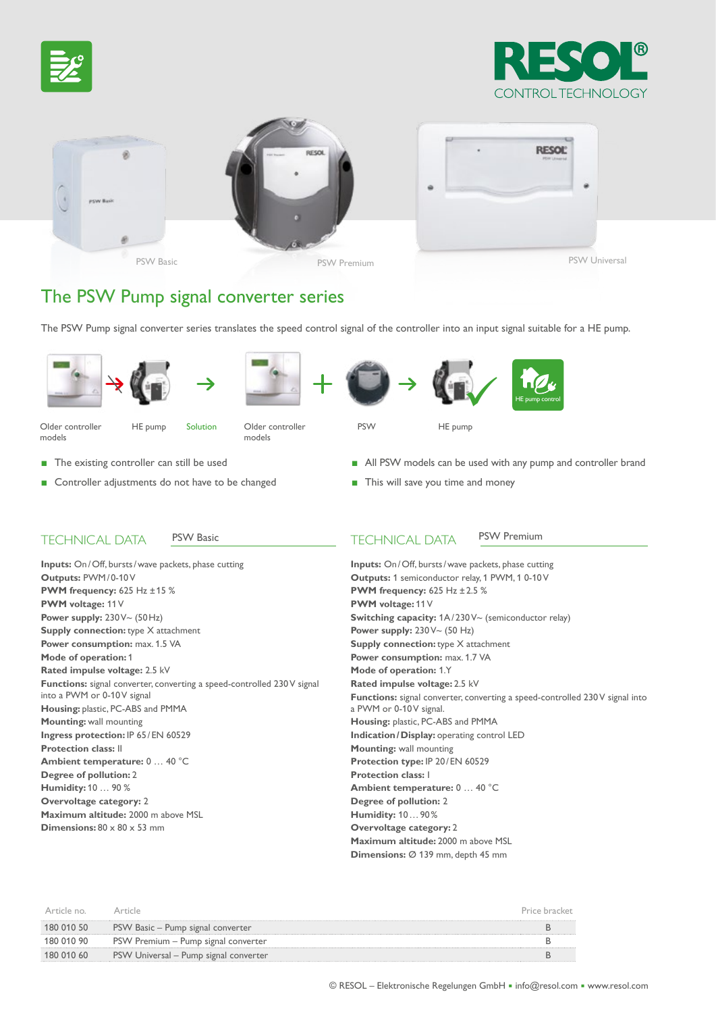





# The PSW Pump signal converter series

The PSW Pump signal converter series translates the speed control signal of the controller into an input signal suitable for a HE pump.











Older controller HE pump Solution

models



HE pump

models

- The existing controller can still be used
- Controller adjustments do not have to be changed
- All PSW models can be used with any pump and controller brand
- This will save you time and money

### TECHNICAL DATA PSW Basic

**Inputs:** On /Off, bursts/wave packets, phase cutting **Outputs:** PWM/0-10 V **PWM frequency:** 625 Hz ±15 % **PWM voltage:** 11 V **Power supply:** 230 V~ (50Hz) **Supply connection:** type X attachment **Power consumption:** max. 1.5 VA **Mode of operation:** 1 **Rated impulse voltage:** 2.5 kV **Functions:** signal converter, converting a speed-controlled 230 V signal into a PWM or 0-10V signal **Housing:** plastic, PC-ABS and PMMA **Mounting:** wall mounting **Ingress protection: IP 65/EN 60529 Protection class:** II **Ambient temperature:** 0 … 40 °C **Degree of pollution:** 2 **Humidity:** 10 … 90 % **Overvoltage category:** 2 **Maximum altitude:** 2000 m above MSL **Dimensions: 80 x 80 x 53 mm** 

### TECHNICAL DATA PSW Premium

**Inputs:** On/Off, bursts/wave packets, phase cutting **Outputs:** 1 semiconductor relay, 1 PWM, 1 0-10 V **PWM frequency:** 625 Hz ±2.5 % **PWM voltage:** 11 V **Switching capacity:** 1A/230 V~ (semiconductor relay) **Power supply:** 230 V~ (50 Hz) **Supply connection:** type X attachment **Power consumption:** max. 1.7 VA **Mode of operation:** 1.Y **Rated impulse voltage:** 2.5 kV **Functions:** signal converter, converting a speed-controlled 230 V signal into a PWM or 0-10V signal. **Housing:** plastic, PC-ABS and PMMA **Indication/Display: operating control LED Mounting:** wall mounting Protection type: IP 20/EN 60529 **Protection class:** I **Ambient temperature:** 0 … 40 °C **Degree of pollution:** 2 **Humidity:** 10…90% **Overvoltage category:** 2 **Maximum altitude:** 2000 m above MSL **Dimensions:** Ø 139 mm, depth 45 mm

| Article no | Article                               | Price bracket |
|------------|---------------------------------------|---------------|
| 180 010 50 | PSW Basic – Pump signal converter     |               |
| 180 010 90 | PSW Premium – Pump signal converter   |               |
| 180 010 60 | PSW Universal – Pump signal converter |               |